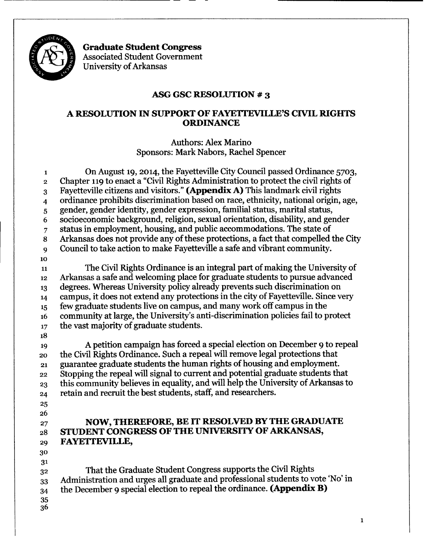

**Graduate Student Congress** Associated Student Government University of Arkansas

--------------------------------- - - -

### **ASG GSC RESOLUTION # 3**

### **A RESOLUTION IN SUPPORT OF FAYETTEVILLE'S CIVIL RIGHTS ORDINANCE**

Authors: Alex Marino Sponsors: Mark Nabors, Rachel Spencer

 On August 19,2014, the Fayetteville CityCouncil passed Ordinance 5703, 2 Chapter 119 to enact a "Civil Rights Administration to protect the civil rights of 3 Fayetteville citizens and visitors." (Appendix A) This landmark civil rights ordinance prohibits discrimination based on race, ethnicity, national origin, age, gender, gender identity, gender expression, familial status, marital status, socioeconomic background, religion, sexual orientation, disability, and gender status in employment, housing, and public accommodations. The state of 8 Arkansas does not provide any of these protections, a fact that compelled the City Council to take action to make Fayetteville a safe and vibrant community. 11 The Civil Rights Ordinance is an integral part of making the University of Arkansas a safe and welcoming place for graduate students to pursue advanced degrees. Whereas University policy already prevents such discrimination on campus, it does not extend any protections in the city of Fayetteville. Since very few graduate students live on campus, and many work off campus in the 16 community at large, the University's anti-discrimination policies fail to protect 17 the vast majority of graduate students. A petition campaign has forced a special election on December 9 to repeal 20 the Civil Rights Ordinance. Such a repeal will remove legal protections that guarantee graduate students the human rights of housing and employment. 22 Stopping the repeal will signal to current and potential graduate students that this community believes in equality, and will help the University of Arkansas to retain and recruit the best students, staff, and researchers. **NOW, THEREFORE, BE IT RESOLVED** BY THE **GRADUATE STUDENT CONGRESS OF THE UNIVERSITY OF** ARKANSAS, **FAYETTEVILLE,** 0 32 That the Graduate Student Congress supports the Civil Rights Administration and urges all graduate and professional students to vote 'No' in the December 9 special election to repeal the ordinance. **(Appendix B)**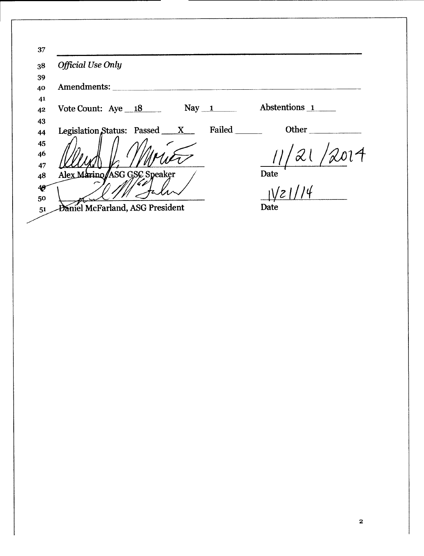| <b>Official Use Only</b>                     |               |
|----------------------------------------------|---------------|
|                                              |               |
| Amendments:                                  |               |
| $\text{May} \_1$<br>Vote Count: $Aye \_18$   | Abstentions 1 |
|                                              |               |
| Failed<br>Legislation Status: Passed $\_\_X$ | Other         |
|                                              |               |
|                                              |               |
|                                              |               |
| Alex Marino ASG GSC Speaker                  | Date          |
|                                              |               |
|                                              |               |
| Daniel McFarland, ASG President              | Date          |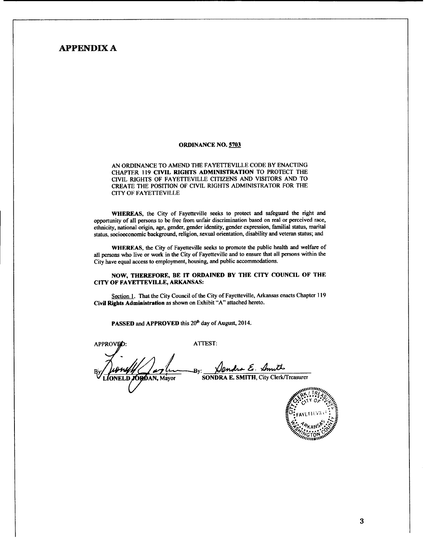### APPENDIX A

### ORDINANCE NO. 5703

AN ORDINANCE TO AMEND THE FAYETTEVlLLE CODE BY ENACTING CHAPTER 119 CIVIL RIGHTS ADMINISTRATION TO PROTECT THE CIVIL RIGHTS OF FAYETTEVILLE CITIZENS AND VISITORS AND TO CREATE THE POSITION OF CIVIL RIGHTS ADMINISTRATOR FOR THE CITY OF FAYETTEVILLE

WHEREAS. the City of Fayetteville seeks to protect and safeguard the right and opportunity of all persons to be free from unfair discrimination based on real or perceived race. cthnicity, national origin, age. gender. gender identity. gender expression. familial status. marital status. socioeconomic background. religion. sexual orientation. disability and veteran status; and

WHEREAS. the City of Fayetteville seeks to promote the public health and welfare of all persons who live or work in the City of Fayetteville and to ensure that all persons within the City have equal access to employment. housing. and public accommodations.

### NOW, THEREFORE, BE IT ORDAINED BY THE CITY COUNCIL OF THE CITY OF FAYETTEVILLE, ARKANSAS:

Section 1. That the City Council of the City of Fayetteville, Arkansas enacts Chapter 119 Civil Rights Administration as shown on Exhibit "A" attached hereto.

PASSED and APPROVED this 20<sup>th</sup> day of August, 2014.

APPROVED:

ATTEST:

Mendra E. Amitts<br>SONDRA E. SMITH, City Clerk/Treasurer By:

ONELD, ORDAN, Mayor

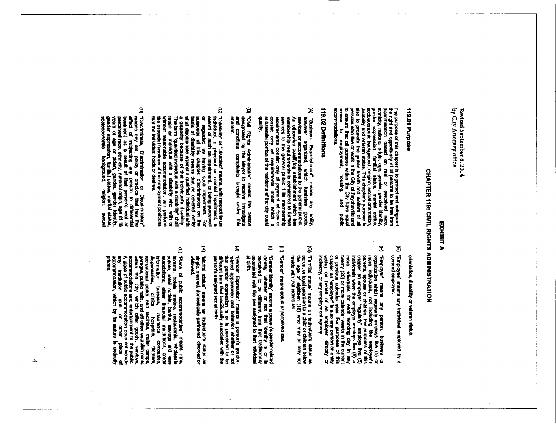### EXHIBIT A

# CHAPTER 119: CIVIL RIGHTS ADMINISTRATION

### 119.01 Purpose

The purpose of this chapter is to protect and safeguard the right and opportunity of all persons to be free from distincting, national origin, age, general persons to be free from elements, entirely, national origin, age, accommodations.

### 119.02 Definitions

- $\mathbf{\hat{z}}$ A) "Business Establishment" means any entity,<br>however organized, which furnishes goods,<br>sendware organized, which thrishes goods,<br> $A$  and orders qualifying sensible<br>membership requirements is considered to furnish<br>respute duality.
- ଭ "Civil Rights Administrator" means the person<br>designated by the Mayor to receive, investigate<br>and conciliate complaints brought under this<br>chapter.
- $\mathbf{\widehat{S}}$ (C) "Disability" or "Disabled" means, with respect to an inchridual, a physical or mental impairment, a revord of such an impairment, and incoroof of such an impairment, for being performancement. For purposes of this cha
- $\ddot{9}$ [n] "Discriminate, Discrimination or Discriminatory" reasts any act, policy or practice that has the effect of subjecting any for the control main and the control main and control main and control main and control mainleng

orientation, disability or veteran status

- û "Employee" means any individual employed by a<br>covered employer.
- $\mathfrak{D}$ F) "Employed" means any person, business or order incore including or the following property free (5) or process the (5) or process free (5) or process free (5) or process free (5) or process free proposes of this propose
- $\widehat{\bm{\omega}}$ "Familial status" means an individual's status as<br>parent or legal guardian to a child or children below<br>the age of elgitteen (18) who may or may not<br>reside with that individual.
- $\widehat{\mathbf{z}}$ "Gender" means actual or perceived sex.
- $\Rightarrow$ "Gender Identity" means a person's gender-related<br>identity, whether or not that identity is or is<br>perceived to be different from that trafficonally<br>associated with the sex assigned to that individual at birth.
- $\hat{\epsilon}$ "Gender Expression" means a person's gender-<br>related appearance and behavior whether or not<br>that gender expression is or is perceived to be<br>different from that traditionally associated with the<br>person's assigned sex at bir
- $\widehat{\mathcal{Z}}$ "Marital status" means an individual's status as<br>single, married, domestically partnered, divorced or<br>widowed.
- (L.) "Place of public accommodation" means inns,<br>budges, redail outlets, backs, restaurants, wholesale<br>includes, redail outlets, backs, asvings and loan<br>includes, redail outlets, backs, asvings and loan<br>includes, redail o  $\hat{\epsilon}$ private.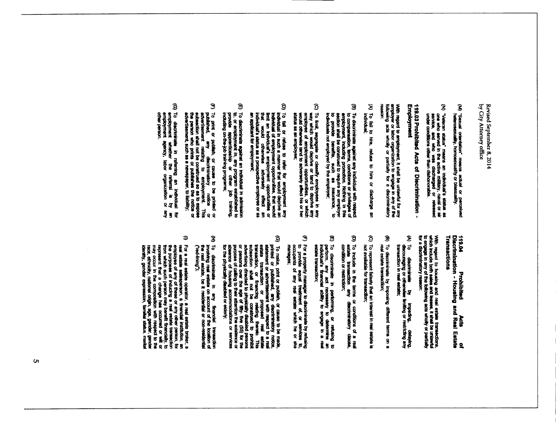- $\widehat{\mathbf{S}}$ "Sexual orientation" means actual or perceived<br>heterosexuality, homosexuality or bisexuality.
- (N) "Veteran status" means an individual's status as<br>one who served in the active military, naval or air<br>service, and who was discharged or released<br>under conditions other than dischonorable.

Employment 119.03 Prohibited Acts of Discrimination

With regard to employment, it shall be unterwhal for any<br>employer or labor organization to engage in any of the<br>following acts wholly or partially for a discriminatory

- $\mathfrak{D}% _{T}=\mathfrak{D}_{T}\!\left( a,b\right) ,\ \mathfrak{D}_{T}=C_{T}\!\left( a,b\right) ,$ To fail to hire, refuse to hire or discharge an<br>individual:
- g To discriminate sgainst any individual with respect to compensation, terms, conditions. Withing in this section shall be construed to require any employer section shall be construed to require any employer to provide bene
- $\mathfrak{D}$ To limit, sepregate or classify employees in any weay which would deprive or tend to deprive any employe of employment opportunities, or which would otherwise tend to adversely affect his or her status as an employee;
- $\mathbf{\hat{g}}$  $[0]$  To fail or refuse to refer for employment any individual in such a manner that would deprive an individual of employment opportunities, that would individual of employment opportunities, that each that would chievew
- $\overline{\boldsymbol{v}}$ To discriminate against an individual in admission<br>to, or employment in, any program estabilshed to<br>provide sappenticeship or other job training,<br>induding on-the-job training programs;
- J To print or publish, or cause to be printed or published. any descriminatory motion This automorphy and the present of the person who prims or publishes the notice or absent and the present who prims or publishes the noti
- $\widehat{\mathbf{C}}$ To discriminate in referring an individual for<br>employment whether the referral is by an<br>employment agency, labor organization or any<br>other person.

# 113.04<br>Discrimination - Housing and Real Estate<br>Transactions

With regard to housing and real estate transactions,<br>which include both sales and leases, it shall be unlawful<br>to engage in any of the following acts wholly or partially<br>for a discriminatory reason:

- (A) To discriminate by impeding, delaying,<br>discouraging or otherwise limiting or restricting any<br>transaction in real estatic;
- $\mathbf{\widehat{B}}$ To discriminate by imposing different terms on<br>real estate transaction;
- $\odot$ To represent faisely that an interest in real estate is<br>not available for transaction;
- $\mathbf{\hat{g}}$ To include in the terms or conditions of a real<br>estate transaction any discriminatory clause,<br>condition or restriction;
- ම To discriminate in performing, or refusing to<br>perform, any act necessary to determine an<br>individuat's financial ability to angage in a real<br>estate transaction;
- $\widehat{\mathbb{C}}$ For a property manager to discriminate by refusing<br>to provide equal treatment of, or services to,<br>occupants of any real estate which he or she<br>manages;
- $\widehat{\mathbf{Q}}$  $\mathbb{Q}$ ) To make, pirit or plokish, or cause to be made,<br>printed or published, any discriminatory rodocs,<br>estate transaction, or financing resisting earlies<br>estate transaction, or financing resisting thereto. This<br>intera
- £ To discriminate in any financial transaction<br>involving real estate on account of the location of<br>the real estate, be it residentisal or non-residential<br>("red-lining");
- $\Rightarrow$ )) For a real estate operator, a real estate broker, a<br>ell estate salesporeon, a financial institution, an<br>enployee of any of these or any other persection<br>the which such person may benefit francially, to<br>free which such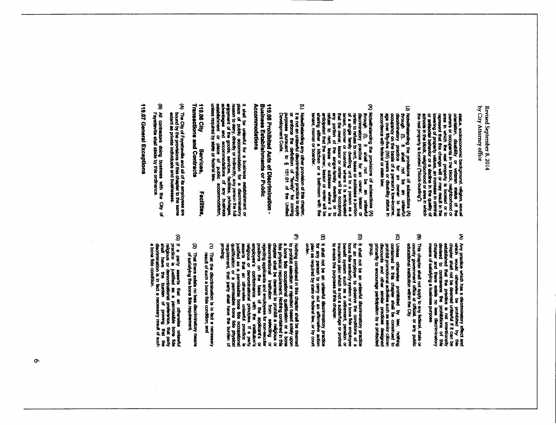status, socioeconomic background, religion, sexual<br>orientation, distability or veteran status of the<br>orientation, distability or veteran status of the<br>represent that this change will or may result in the<br>represent that thi

- (J) Notwithstandard the provisions of subsections (A) through (f),  $\mu$  as a set of subsections (A) through the set of  $\mu$  and  $\sigma$  are  $\sigma$  and  $\sigma$  are  $\sigma$  and  $\sigma$  and  $\sigma$  and  $\sigma$  and  $\sigma$  and  $\sigma$  and  $\sigma$  and  $\sigma$
- $\mathbf{\hat{z}}$ (X) Notwithstanding the provisions of subsections (A) through the covering for an owner. lessor of subsection of subsection of a single family practice for an owner. lessor or the single family dwelling unit to a person a
- $\mathbf{c}$ Nowhite<br>and the state of provision of this chapter, of the chapter,<br>of is not as the dulutation in the privity for a supply<br>of the content that the state of the state of the Unified<br>Development Code,

## 119.05 Prohibited Acts of Discrimination -<br>Business Establishments or Public<br>Accommodations

It shall be unkawhul for a business establishment or place of public accommodation for a discriminatory reason to dowl, a goody or include for a discriminatory reason to dowl, a goody or includes from the second of the st

### 119.06 City Services,<br>Transactions and Contracts Facilities.

- (A) The Chy of Fayettenile and all of its employees are<br>bound by the provisions of this chapter to the same<br>extent as private individuals and businesses.
- g All contractors doing business with the City<br>Fayetteville shall abide by this ordinance. ୁ

119.07 General Exceptions

- $\hat{\boldsymbol{z}}$ A) Any practice which has a decriminatory effect and which would otherwise new prohibities by the castle of the presence of prohibities of the presence of prohibitions of the castle of the presence the prohibitions of thi
- $\mathbf{\widehat{G}}$ This chapter shall not apply to any federal, state or<br>county government office or official, or any public<br>educational institution within the Chy.
- $\mathfrak{S}$ Uniess otherwise prohibited by kaw, nothing constance in this chapter shall be construed to prohibit promotional activities such as senior citizen decorational order similar practices designed formation is and other simila dnou<sup>6</sup>
- $\mathbf{\widehat{g}}$ D) it shall not be an unlawful discrimination practice<br>for an employer to observe the conditions of a<br>benefit system such as a retherment, pension or<br>benefit system such as a retherment, pension or<br>insurance plan which is
- O it shall not be an uniawidi discriminatory practice<br>for any penson to carry out an affirmative action<br>plan as required by state or federal lew, or by court<br>order.
- J The Nothing contained in this chapter shell be deemed a to the property condition of relection to said food word about shood word about the book word about the book word about the portion and computational institution fro
- $\widehat{\mathbf{z}}$ That the discrimination is in fact a necessary<br>result of such a bona fide condition; and
- (2) That there exists no less discriminatory means<br>of satisfying the bona fide requirement.
- $\widehat{\mathbf{Q}}$ (G) If a party asserts that an otherwise unterwid practice is justified as a permissible bone fide<br>precise is justified as a permissible bone fide<br>stell have the burden of province, that they<br>discrimination is in fact a n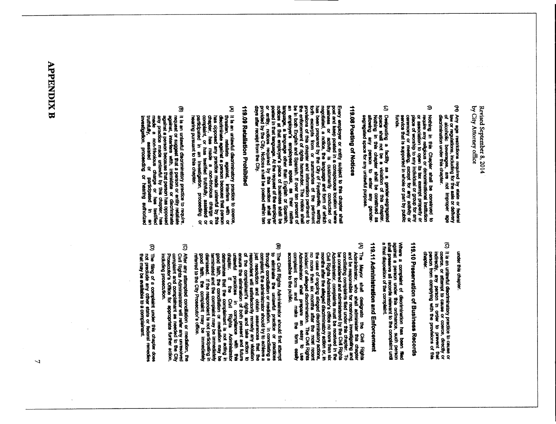- Ĵ Any age restrictions required by state or fedenal<br>lew or regulations, including for the sale or defivery<br>of alcoholic beverages, are not improper age<br>discrimination under this chapter.
- $\ddot{ }$ () Nothing in this Chapter shall be construed to reasonate interaction of the properties of denominational institution or association to open its tax example property or reasonation to open its tax example property or pla
- G Dealgrating a facility as a gender-eegregated<br>space shall not be a violation of this chapter.<br>Nothing in this chapter shall be construed as<br>altowing any person to enter any gender-<br>segregated space for any unlawful purpose

## 119.08 Posting of Notices

Every employer or entity subject to this careform where<br>post and keep posted in a conspicuous location where<br>best and keep posted in a conspicuous form of will be<br>the set of the case of the change of the perform of<br>the se

## 119.09 Retaliation Prohibited

- (A) it is an unlawful diacriminatory practice to coerce.<br>threatmin, retailate against, interfere with or<br>distortinuiste against a person because that person<br>has force, has made a non-frivolous charge of<br>correlaint, or has
- $\mathbf{\widehat{g}}$ B) it is an unlawful discriminatory precise to require,<br>request or suggest that a person or entity retailate<br>against, interfere with, intimulate or discrippiate<br>any practice made unlawful by this chapter, has<br>any practice

### under this chapter

(C) it is an untawful discriminatory practice to cause or codes or codes or codes or codes, alrectly or any particular in cycle or prevent that person in order to prevent that person in order to prevent that person in orde

# 119.10 Preservation of Business Records

Where a complaint of discrimination has been filed<br>against a person under this ordinance, such person<br>shall preserve ali records relevant to the complaint until<br>a final disposition of the complaint.

## 119.11 Administration and Enforcement

- (A) The Mayor shall designate the Civil Rights and be responsible for recolution this chapter for the shall administer this chapter and be responsible for recolution, the shall administer The Civil Rights and be conseined
- $\mathbf{\widehat{g}}$ [9] The Civil Rights Administrator should first attempt<br>the civil concllation or mediation or practices of the street of the complements of the complements of the complements of the same of the complements of the same of
- $\mathbf{G}$ After any stitempted conciliation or mediation, the<br>Civil Rights Administrator will refer any unresolved<br>complaint and complainant as needed to the City<br>Prosecutor's Office for appropriate further action,
- g The filing of a complaint under this chapter does<br>not preclude any other state or federal remedies<br>that may be evailable to a complainant.

## **APPENDIX B**